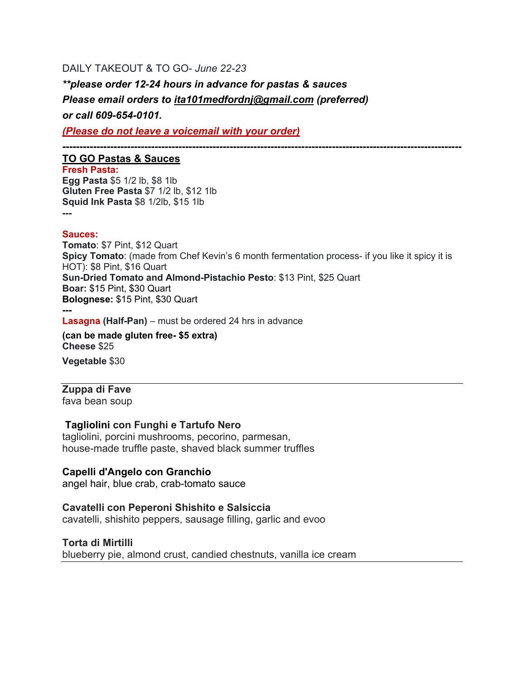# DAILY TAKEOUT & TO GO- *June 22-23*

*\*\*please order 12-24 hours in advance for pastas & sauces Please email orders to ita101medfordnj@gmail.com (preferred) or call 609-654-0101.*

*(Please do not leave a voicemail with your order)*

**---------------------------------------------------------------------------------------------------------------------**

## **TO GO Pastas & Sauces**

**Fresh Pasta: Egg Pasta** \$5 1/2 lb, \$8 1lb **Gluten Free Pasta** \$7 1/2 lb, \$12 1lb **Squid Ink Pasta** \$8 1/2lb, \$15 1lb **---**

#### **Sauces:**

**Tomato**: \$7 Pint, \$12 Quart **Spicy Tomato**: (made from Chef Kevin's 6 month fermentation process- if you like it spicy it is HOT): \$8 Pint, \$16 Quart **Sun-Dried Tomato and Almond-Pistachio Pesto**: \$13 Pint, \$25 Quart **Boar:** \$15 Pint, \$30 Quart **Bolognese:** \$15 Pint, \$30 Quart

**---**

**Lasagna (Half-Pan)** – must be ordered 24 hrs in advance

**(can be made gluten free- \$5 extra) Cheese** \$25 **Vegetable** \$30

# **Zuppa di Fave**

fava bean soup

# **Tagliolini con Funghi e Tartufo Nero**

tagliolini, porcini mushrooms, pecorino, parmesan, house-made truffle paste, shaved black summer truffles

#### **Capelli d'Angelo con Granchio**

angel hair, blue crab, crab-tomato sauce

# **Cavatelli con Peperoni Shishito e Salsiccia**

cavatelli, shishito peppers, sausage filling, garlic and evoo

#### **Torta di Mirtilli**

blueberry pie, almond crust, candied chestnuts, vanilla ice cream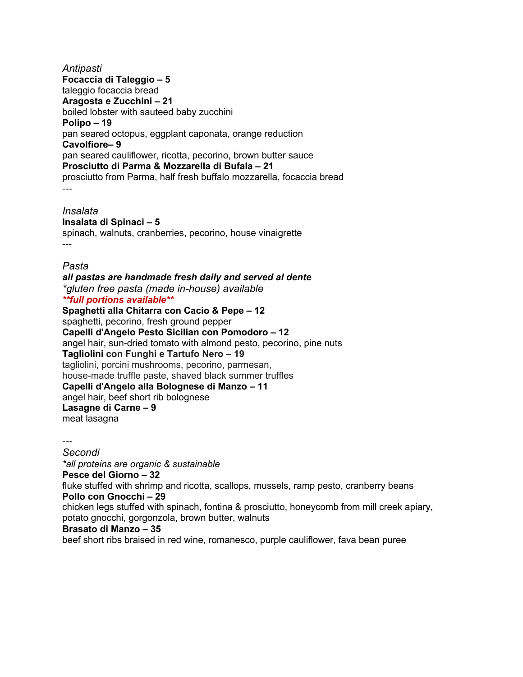*Antipasti* **Focaccia di Taleggio – 5** taleggio focaccia bread **Aragosta e Zucchini – 21** boiled lobster with sauteed baby zucchini **Polipo – 19** pan seared octopus, eggplant caponata, orange reduction **Cavolfiore– 9** pan seared cauliflower, ricotta, pecorino, brown butter sauce **Prosciutto di Parma & Mozzarella di Bufala – 21** prosciutto from Parma, half fresh buffalo mozzarella, focaccia bread ---

*Insalata*

**Insalata di Spinaci – 5** spinach, walnuts, cranberries, pecorino, house vinaigrette ---

*Pasta*

*all pastas are handmade fresh daily and served al dente \*gluten free pasta (made in-house) available \*\*full portions available\*\** **Spaghetti alla Chitarra con Cacio & Pepe – 12** spaghetti, pecorino, fresh ground pepper **Capelli d'Angelo Pesto Sicilian con Pomodoro – 12** angel hair, sun-dried tomato with almond pesto, pecorino, pine nuts **Tagliolini con Funghi e Tartufo Nero – 19** tagliolini, porcini mushrooms, pecorino, parmesan,

house-made truffle paste, shaved black summer truffles

**Capelli d'Angelo alla Bolognese di Manzo – 11**

angel hair, beef short rib bolognese

**Lasagne di Carne – 9**

meat lasagna

---

*Secondi*

*\*all proteins are organic & sustainable*

**Pesce del Giorno – 32**

fluke stuffed with shrimp and ricotta, scallops, mussels, ramp pesto, cranberry beans **Pollo con Gnocchi – 29**

chicken legs stuffed with spinach, fontina & prosciutto, honeycomb from mill creek apiary, potato gnocchi, gorgonzola, brown butter, walnuts

#### **Brasato di Manzo – 35**

beef short ribs braised in red wine, romanesco, purple cauliflower, fava bean puree